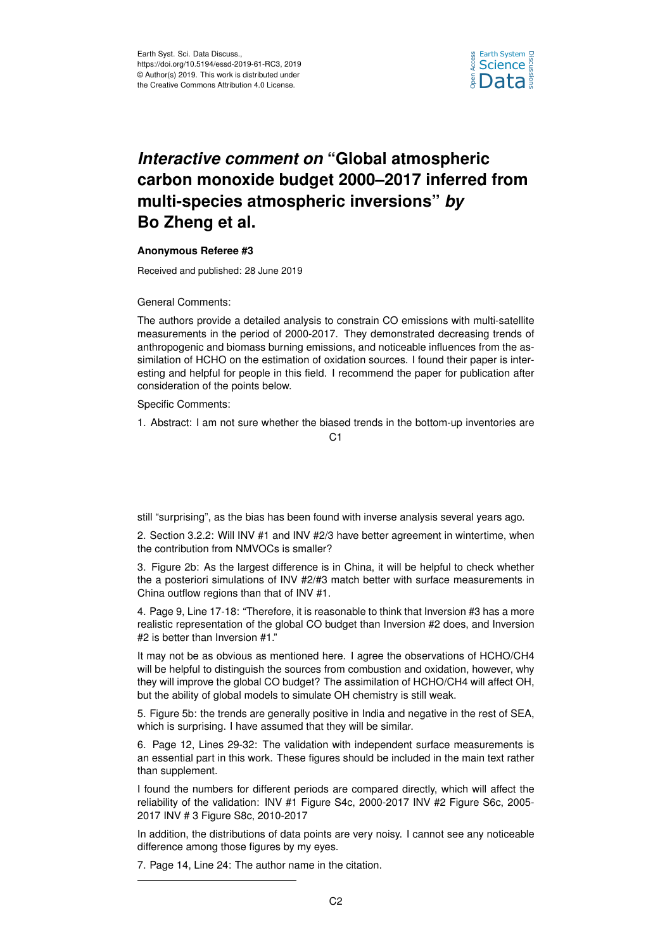

## *Interactive comment on* **"Global atmospheric carbon monoxide budget 2000–2017 inferred from multi-species atmospheric inversions"** *by* **Bo Zheng et al.**

## **Anonymous Referee #3**

Received and published: 28 June 2019

General Comments:

The authors provide a detailed analysis to constrain CO emissions with multi-satellite measurements in the period of 2000-2017. They demonstrated decreasing trends of anthropogenic and biomass burning emissions, and noticeable influences from the assimilation of HCHO on the estimation of oxidation sources. I found their paper is interesting and helpful for people in this field. I recommend the paper for publication after consideration of the points below.

Specific Comments:

1. Abstract: I am not sure whether the biased trends in the bottom-up inventories are

 $C<sub>1</sub>$ 

still "surprising", as the bias has been found with inverse analysis several years ago.

2. Section 3.2.2: Will INV #1 and INV #2/3 have better agreement in wintertime, when the contribution from NMVOCs is smaller?

3. Figure 2b: As the largest difference is in China, it will be helpful to check whether the a posteriori simulations of INV #2/#3 match better with surface measurements in China outflow regions than that of INV #1.

4. Page 9, Line 17-18: "Therefore, it is reasonable to think that Inversion #3 has a more realistic representation of the global CO budget than Inversion #2 does, and Inversion #2 is better than Inversion #1."

It may not be as obvious as mentioned here. I agree the observations of HCHO/CH4 will be helpful to distinguish the sources from combustion and oxidation, however, why they will improve the global CO budget? The assimilation of HCHO/CH4 will affect OH, but the ability of global models to simulate OH chemistry is still weak.

5. Figure 5b: the trends are generally positive in India and negative in the rest of SEA, which is surprising. I have assumed that they will be similar.

6. Page 12, Lines 29-32: The validation with independent surface measurements is an essential part in this work. These figures should be included in the main text rather than supplement.

I found the numbers for different periods are compared directly, which will affect the reliability of the validation: INV #1 Figure S4c, 2000-2017 INV #2 Figure S6c, 2005- 2017 INV # 3 Figure S8c, 2010-2017

In addition, the distributions of data points are very noisy. I cannot see any noticeable difference among those figures by my eyes.

7. Page 14, Line 24: The author name in the citation.